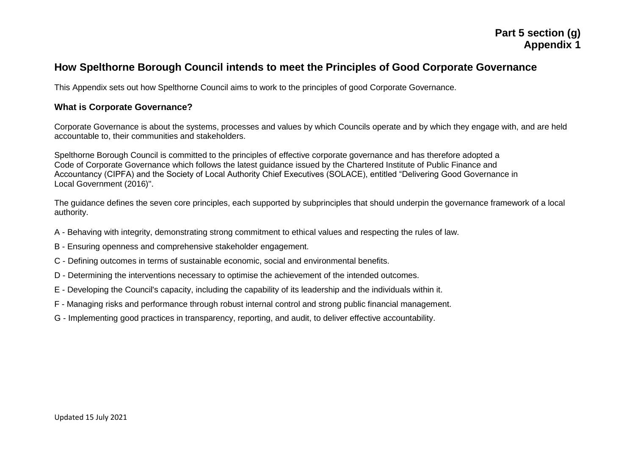# **Part 5 section (g) Appendix 1**

# **How Spelthorne Borough Council intends to meet the Principles of Good Corporate Governance**

This Appendix sets out how Spelthorne Council aims to work to the principles of good Corporate Governance.

#### **What is Corporate Governance?**

Corporate Governance is about the systems, processes and values by which Councils operate and by which they engage with, and are held accountable to, their communities and stakeholders.

Spelthorne Borough Council is committed to the principles of effective corporate governance and has therefore adopted a Code of Corporate Governance which follows the latest guidance issued by the Chartered Institute of Public Finance and Accountancy (CIPFA) and the Society of Local Authority Chief Executives (SOLACE), entitled "Delivering Good Governance in Local Government (2016)".

The guidance defines the seven core principles, each supported by subprinciples that should underpin the governance framework of a local authority.

- A Behaving with integrity, demonstrating strong commitment to ethical values and respecting the rules of law.
- B Ensuring openness and comprehensive stakeholder engagement.
- C Defining outcomes in terms of sustainable economic, social and environmental benefits.
- D Determining the interventions necessary to optimise the achievement of the intended outcomes.
- E Developing the Council's capacity, including the capability of its leadership and the individuals within it.
- F Managing risks and performance through robust internal control and strong public financial management.
- G Implementing good practices in transparency, reporting, and audit, to deliver effective accountability.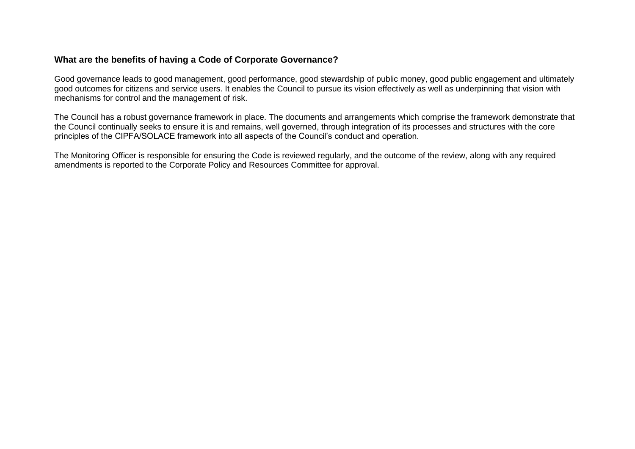### **What are the benefits of having a Code of Corporate Governance?**

Good governance leads to good management, good performance, good stewardship of public money, good public engagement and ultimately good outcomes for citizens and service users. It enables the Council to pursue its vision effectively as well as underpinning that vision with mechanisms for control and the management of risk.

The Council has a robust governance framework in place. The documents and arrangements which comprise the framework demonstrate that the Council continually seeks to ensure it is and remains, well governed, through integration of its processes and structures with the core principles of the CIPFA/SOLACE framework into all aspects of the Council's conduct and operation.

The Monitoring Officer is responsible for ensuring the Code is reviewed regularly, and the outcome of the review, along with any required amendments is reported to the Corporate Policy and Resources Committee for approval.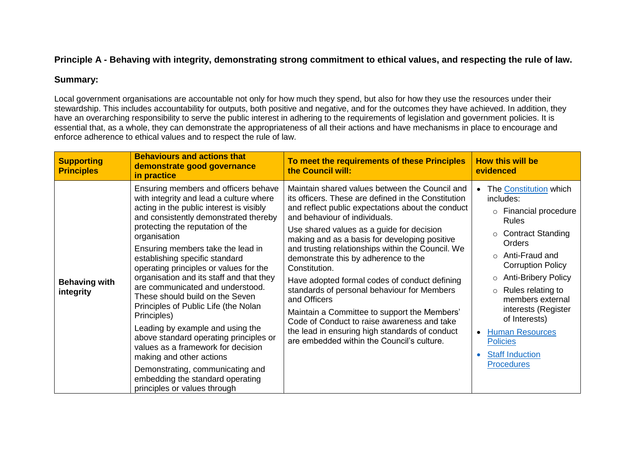### **Principle A - Behaving with integrity, demonstrating strong commitment to ethical values, and respecting the rule of law.**

### **Summary:**

Local government organisations are accountable not only for how much they spend, but also for how they use the resources under their stewardship. This includes accountability for outputs, both positive and negative, and for the outcomes they have achieved. In addition, they have an overarching responsibility to serve the public interest in adhering to the requirements of legislation and government policies. It is essential that, as a whole, they can demonstrate the appropriateness of all their actions and have mechanisms in place to encourage and enforce adherence to ethical values and to respect the rule of law.

| <b>Supporting</b><br><b>Principles</b> | <b>Behaviours and actions that</b><br>demonstrate good governance<br>in practice                                                                                                                                                                                                                                                                                                                                                                                                                                                                                                                                                                                                                                                                                            | To meet the requirements of these Principles<br>the Council will:                                                                                                                                                                                                                                                                                                                                                                                                                                                                                                                                                                                                                                                      | <b>How this will be</b><br>evidenced                                                                                                                                                                                                                                                                                                                                                                                              |
|----------------------------------------|-----------------------------------------------------------------------------------------------------------------------------------------------------------------------------------------------------------------------------------------------------------------------------------------------------------------------------------------------------------------------------------------------------------------------------------------------------------------------------------------------------------------------------------------------------------------------------------------------------------------------------------------------------------------------------------------------------------------------------------------------------------------------------|------------------------------------------------------------------------------------------------------------------------------------------------------------------------------------------------------------------------------------------------------------------------------------------------------------------------------------------------------------------------------------------------------------------------------------------------------------------------------------------------------------------------------------------------------------------------------------------------------------------------------------------------------------------------------------------------------------------------|-----------------------------------------------------------------------------------------------------------------------------------------------------------------------------------------------------------------------------------------------------------------------------------------------------------------------------------------------------------------------------------------------------------------------------------|
| <b>Behaving with</b><br>integrity      | Ensuring members and officers behave<br>with integrity and lead a culture where<br>acting in the public interest is visibly<br>and consistently demonstrated thereby<br>protecting the reputation of the<br>organisation<br>Ensuring members take the lead in<br>establishing specific standard<br>operating principles or values for the<br>organisation and its staff and that they<br>are communicated and understood.<br>These should build on the Seven<br>Principles of Public Life (the Nolan<br>Principles)<br>Leading by example and using the<br>above standard operating principles or<br>values as a framework for decision<br>making and other actions<br>Demonstrating, communicating and<br>embedding the standard operating<br>principles or values through | Maintain shared values between the Council and<br>its officers. These are defined in the Constitution<br>and reflect public expectations about the conduct<br>and behaviour of individuals.<br>Use shared values as a guide for decision<br>making and as a basis for developing positive<br>and trusting relationships within the Council. We<br>demonstrate this by adherence to the<br>Constitution.<br>Have adopted formal codes of conduct defining<br>standards of personal behaviour for Members<br>and Officers<br>Maintain a Committee to support the Members'<br>Code of Conduct to raise awareness and take<br>the lead in ensuring high standards of conduct<br>are embedded within the Council's culture. | The Constitution which<br>includes:<br>o Financial procedure<br><b>Rules</b><br><b>Contract Standing</b><br>$\circ$<br>Orders<br>$\circ$ Anti-Fraud and<br><b>Corruption Policy</b><br><b>Anti-Bribery Policy</b><br>$\circ$<br>Rules relating to<br>$\circ$<br>members external<br>interests (Register<br>of Interests)<br><b>Human Resources</b><br>$\bullet$<br><b>Policies</b><br><b>Staff Induction</b><br><b>Procedures</b> |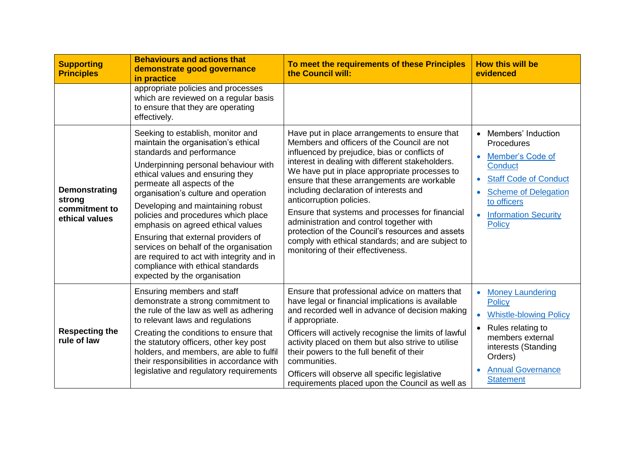| <b>Supporting</b><br><b>Principles</b>                     | <b>Behaviours and actions that</b><br>demonstrate good governance<br>in practice                                                                                                                                                                                                                                                                                                                                                                                                                                                                                             | To meet the requirements of these Principles<br>the Council will:                                                                                                                                                                                                                                                                                                                                                                                                                                                                                                                                                     | <b>How this will be</b><br>evidenced                                                                                                                                                                                                          |
|------------------------------------------------------------|------------------------------------------------------------------------------------------------------------------------------------------------------------------------------------------------------------------------------------------------------------------------------------------------------------------------------------------------------------------------------------------------------------------------------------------------------------------------------------------------------------------------------------------------------------------------------|-----------------------------------------------------------------------------------------------------------------------------------------------------------------------------------------------------------------------------------------------------------------------------------------------------------------------------------------------------------------------------------------------------------------------------------------------------------------------------------------------------------------------------------------------------------------------------------------------------------------------|-----------------------------------------------------------------------------------------------------------------------------------------------------------------------------------------------------------------------------------------------|
|                                                            | appropriate policies and processes<br>which are reviewed on a regular basis<br>to ensure that they are operating<br>effectively.                                                                                                                                                                                                                                                                                                                                                                                                                                             |                                                                                                                                                                                                                                                                                                                                                                                                                                                                                                                                                                                                                       |                                                                                                                                                                                                                                               |
| Demonstrating<br>strong<br>commitment to<br>ethical values | Seeking to establish, monitor and<br>maintain the organisation's ethical<br>standards and performance<br>Underpinning personal behaviour with<br>ethical values and ensuring they<br>permeate all aspects of the<br>organisation's culture and operation<br>Developing and maintaining robust<br>policies and procedures which place<br>emphasis on agreed ethical values<br>Ensuring that external providers of<br>services on behalf of the organisation<br>are required to act with integrity and in<br>compliance with ethical standards<br>expected by the organisation | Have put in place arrangements to ensure that<br>Members and officers of the Council are not<br>influenced by prejudice, bias or conflicts of<br>interest in dealing with different stakeholders.<br>We have put in place appropriate processes to<br>ensure that these arrangements are workable<br>including declaration of interests and<br>anticorruption policies.<br>Ensure that systems and processes for financial<br>administration and control together with<br>protection of the Council's resources and assets<br>comply with ethical standards; and are subject to<br>monitoring of their effectiveness. | • Members' Induction<br>Procedures<br>Member's Code of<br><b>Conduct</b><br><b>Staff Code of Conduct</b><br>$\bullet$<br><b>Scheme of Delegation</b><br>$\bullet$<br>to officers<br><b>Information Security</b><br>$\bullet$<br><b>Policy</b> |
| <b>Respecting the</b><br>rule of law                       | Ensuring members and staff<br>demonstrate a strong commitment to<br>the rule of the law as well as adhering<br>to relevant laws and regulations<br>Creating the conditions to ensure that<br>the statutory officers, other key post<br>holders, and members, are able to fulfil<br>their responsibilities in accordance with<br>legislative and regulatory requirements                                                                                                                                                                                                      | Ensure that professional advice on matters that<br>have legal or financial implications is available<br>and recorded well in advance of decision making<br>if appropriate.<br>Officers will actively recognise the limits of lawful<br>activity placed on them but also strive to utilise<br>their powers to the full benefit of their<br>communities.<br>Officers will observe all specific legislative<br>requirements placed upon the Council as well as                                                                                                                                                           | <b>Money Laundering</b><br>$\bullet$<br><b>Policy</b><br><b>Whistle-blowing Policy</b><br>$\bullet$<br>Rules relating to<br>$\bullet$<br>members external<br>interests (Standing<br>Orders)<br><b>Annual Governance</b><br><b>Statement</b>   |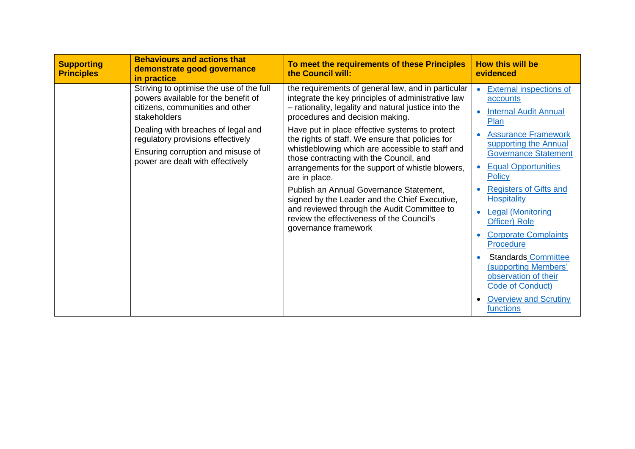| <b>Supporting</b><br><b>Principles</b>                                                                                                           | <b>Behaviours and actions that</b><br>demonstrate good governance<br>in practice                                                                                                                                                                                                                                  | To meet the requirements of these Principles<br>the Council will:                                                                                                                                   | <b>How this will be</b><br>evidenced                                                                                                                                                                                                                              |
|--------------------------------------------------------------------------------------------------------------------------------------------------|-------------------------------------------------------------------------------------------------------------------------------------------------------------------------------------------------------------------------------------------------------------------------------------------------------------------|-----------------------------------------------------------------------------------------------------------------------------------------------------------------------------------------------------|-------------------------------------------------------------------------------------------------------------------------------------------------------------------------------------------------------------------------------------------------------------------|
|                                                                                                                                                  | Striving to optimise the use of the full<br>powers available for the benefit of<br>citizens, communities and other<br>stakeholders                                                                                                                                                                                | the requirements of general law, and in particular<br>integrate the key principles of administrative law<br>- rationality, legality and natural justice into the<br>procedures and decision making. | External inspections of<br>accounts<br><b>Internal Audit Annual</b><br>Plan                                                                                                                                                                                       |
| Dealing with breaches of legal and<br>regulatory provisions effectively<br>Ensuring corruption and misuse of<br>power are dealt with effectively | Have put in place effective systems to protect<br>the rights of staff. We ensure that policies for<br>whistleblowing which are accessible to staff and<br>those contracting with the Council, and<br>arrangements for the support of whistle blowers,<br>are in place.<br>Publish an Annual Governance Statement, | <b>Assurance Framework</b><br>supporting the Annual<br><b>Governance Statement</b><br><b>Equal Opportunities</b><br>Policy<br><b>Registers of Gifts and</b>                                         |                                                                                                                                                                                                                                                                   |
|                                                                                                                                                  |                                                                                                                                                                                                                                                                                                                   | signed by the Leader and the Chief Executive,<br>and reviewed through the Audit Committee to<br>review the effectiveness of the Council's<br>governance framework                                   | <b>Hospitality</b><br><b>Legal (Monitoring</b><br>Officer) Role<br><b>Corporate Complaints</b><br>Procedure<br><b>Standards Committee</b><br>(supporting Members'<br>observation of their<br><b>Code of Conduct)</b><br><b>Overview and Scrutiny</b><br>functions |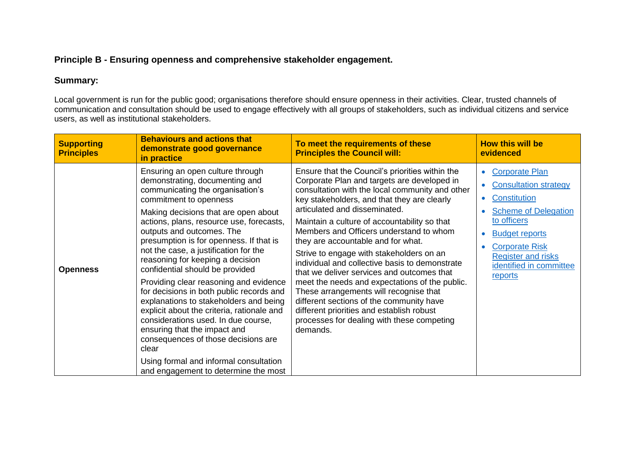## **Principle B - Ensuring openness and comprehensive stakeholder engagement.**

# **Summary:**

Local government is run for the public good; organisations therefore should ensure openness in their activities. Clear, trusted channels of communication and consultation should be used to engage effectively with all groups of stakeholders, such as individual citizens and service users, as well as institutional stakeholders.

| <b>Supporting</b><br><b>Principles</b> | <b>Behaviours and actions that</b><br>demonstrate good governance<br>in practice                                                                                                                                                                                                                                                                                                                                                                                                                                                                                                                                                                                                                                                                                                                    | To meet the requirements of these<br><b>Principles the Council will:</b>                                                                                                                                                                                                                                                                                                                                                                                                                                                                                                                                                                                                                                                                                      | <b>How this will be</b><br>evidenced                                                                                                                                                                                                                                            |
|----------------------------------------|-----------------------------------------------------------------------------------------------------------------------------------------------------------------------------------------------------------------------------------------------------------------------------------------------------------------------------------------------------------------------------------------------------------------------------------------------------------------------------------------------------------------------------------------------------------------------------------------------------------------------------------------------------------------------------------------------------------------------------------------------------------------------------------------------------|---------------------------------------------------------------------------------------------------------------------------------------------------------------------------------------------------------------------------------------------------------------------------------------------------------------------------------------------------------------------------------------------------------------------------------------------------------------------------------------------------------------------------------------------------------------------------------------------------------------------------------------------------------------------------------------------------------------------------------------------------------------|---------------------------------------------------------------------------------------------------------------------------------------------------------------------------------------------------------------------------------------------------------------------------------|
| <b>Openness</b>                        | Ensuring an open culture through<br>demonstrating, documenting and<br>communicating the organisation's<br>commitment to openness<br>Making decisions that are open about<br>actions, plans, resource use, forecasts,<br>outputs and outcomes. The<br>presumption is for openness. If that is<br>not the case, a justification for the<br>reasoning for keeping a decision<br>confidential should be provided<br>Providing clear reasoning and evidence<br>for decisions in both public records and<br>explanations to stakeholders and being<br>explicit about the criteria, rationale and<br>considerations used. In due course,<br>ensuring that the impact and<br>consequences of those decisions are<br>clear<br>Using formal and informal consultation<br>and engagement to determine the most | Ensure that the Council's priorities within the<br>Corporate Plan and targets are developed in<br>consultation with the local community and other<br>key stakeholders, and that they are clearly<br>articulated and disseminated.<br>Maintain a culture of accountability so that<br>Members and Officers understand to whom<br>they are accountable and for what.<br>Strive to engage with stakeholders on an<br>individual and collective basis to demonstrate<br>that we deliver services and outcomes that<br>meet the needs and expectations of the public.<br>These arrangements will recognise that<br>different sections of the community have<br>different priorities and establish robust<br>processes for dealing with these competing<br>demands. | <b>Corporate Plan</b><br>$\bullet$<br><b>Consultation strategy</b><br>$\bullet$<br>Constitution<br>$\bullet$<br><b>Scheme of Delegation</b><br>to officers<br><b>Budget reports</b><br><b>Corporate Risk</b><br><b>Register and risks</b><br>identified in committee<br>reports |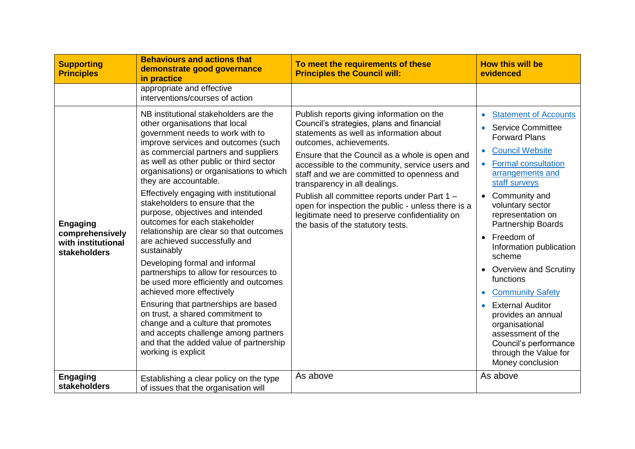| <b>Supporting</b><br><b>Principles</b>                                   | <b>Behaviours and actions that</b><br>demonstrate good governance<br>in practice                                                                                                                                                                                                                                                                                                                                                                                                                                                                                                                                                                                                                                                                                                                                                                                                                                                       | To meet the requirements of these<br><b>Principles the Council will:</b>                                                                                                                                                                                                                                                                                                                                                                                                                                                                     | <b>How this will be</b><br>evidenced                                                                                                                                                                                                                                                                                                                                                                                                                                                                                                                |
|--------------------------------------------------------------------------|----------------------------------------------------------------------------------------------------------------------------------------------------------------------------------------------------------------------------------------------------------------------------------------------------------------------------------------------------------------------------------------------------------------------------------------------------------------------------------------------------------------------------------------------------------------------------------------------------------------------------------------------------------------------------------------------------------------------------------------------------------------------------------------------------------------------------------------------------------------------------------------------------------------------------------------|----------------------------------------------------------------------------------------------------------------------------------------------------------------------------------------------------------------------------------------------------------------------------------------------------------------------------------------------------------------------------------------------------------------------------------------------------------------------------------------------------------------------------------------------|-----------------------------------------------------------------------------------------------------------------------------------------------------------------------------------------------------------------------------------------------------------------------------------------------------------------------------------------------------------------------------------------------------------------------------------------------------------------------------------------------------------------------------------------------------|
|                                                                          | appropriate and effective<br>interventions/courses of action                                                                                                                                                                                                                                                                                                                                                                                                                                                                                                                                                                                                                                                                                                                                                                                                                                                                           |                                                                                                                                                                                                                                                                                                                                                                                                                                                                                                                                              |                                                                                                                                                                                                                                                                                                                                                                                                                                                                                                                                                     |
| <b>Engaging</b><br>comprehensively<br>with institutional<br>stakeholders | NB institutional stakeholders are the<br>other organisations that local<br>government needs to work with to<br>improve services and outcomes (such<br>as commercial partners and suppliers<br>as well as other public or third sector<br>organisations) or organisations to which<br>they are accountable.<br>Effectively engaging with institutional<br>stakeholders to ensure that the<br>purpose, objectives and intended<br>outcomes for each stakeholder<br>relationship are clear so that outcomes<br>are achieved successfully and<br>sustainably<br>Developing formal and informal<br>partnerships to allow for resources to<br>be used more efficiently and outcomes<br>achieved more effectively<br>Ensuring that partnerships are based<br>on trust, a shared commitment to<br>change and a culture that promotes<br>and accepts challenge among partners<br>and that the added value of partnership<br>working is explicit | Publish reports giving information on the<br>Council's strategies, plans and financial<br>statements as well as information about<br>outcomes, achievements.<br>Ensure that the Council as a whole is open and<br>accessible to the community, service users and<br>staff and we are committed to openness and<br>transparency in all dealings.<br>Publish all committee reports under Part 1 -<br>open for inspection the public - unless there is a<br>legitimate need to preserve confidentiality on<br>the basis of the statutory tests. | <b>Statement of Accounts</b><br><b>Service Committee</b><br><b>Forward Plans</b><br><b>Council Website</b><br><b>Formal consultation</b><br>arrangements and<br>staff surveys<br>Community and<br>voluntary sector<br>representation on<br>Partnership Boards<br>• Freedom of<br>Information publication<br>scheme<br>• Overview and Scrutiny<br>functions<br><b>Community Safety</b><br><b>External Auditor</b><br>provides an annual<br>organisational<br>assessment of the<br>Council's performance<br>through the Value for<br>Money conclusion |
| <b>Engaging</b><br>stakeholders                                          | Establishing a clear policy on the type<br>of issues that the organisation will                                                                                                                                                                                                                                                                                                                                                                                                                                                                                                                                                                                                                                                                                                                                                                                                                                                        | As above                                                                                                                                                                                                                                                                                                                                                                                                                                                                                                                                     | As above                                                                                                                                                                                                                                                                                                                                                                                                                                                                                                                                            |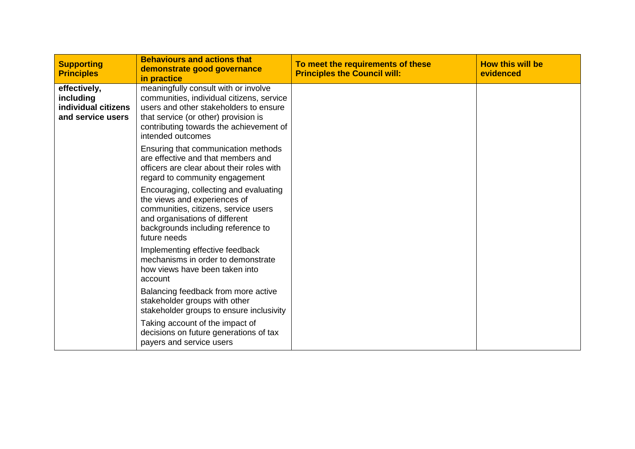| <b>Supporting</b><br><b>Principles</b>                                | <b>Behaviours and actions that</b><br>demonstrate good governance<br>in practice                                                                                                                                                    | To meet the requirements of these<br><b>Principles the Council will:</b> | <b>How this will be</b><br>evidenced |
|-----------------------------------------------------------------------|-------------------------------------------------------------------------------------------------------------------------------------------------------------------------------------------------------------------------------------|--------------------------------------------------------------------------|--------------------------------------|
| effectively,<br>including<br>individual citizens<br>and service users | meaningfully consult with or involve<br>communities, individual citizens, service<br>users and other stakeholders to ensure<br>that service (or other) provision is<br>contributing towards the achievement of<br>intended outcomes |                                                                          |                                      |
|                                                                       | Ensuring that communication methods<br>are effective and that members and<br>officers are clear about their roles with<br>regard to community engagement                                                                            |                                                                          |                                      |
|                                                                       | Encouraging, collecting and evaluating<br>the views and experiences of<br>communities, citizens, service users<br>and organisations of different<br>backgrounds including reference to<br>future needs                              |                                                                          |                                      |
|                                                                       | Implementing effective feedback<br>mechanisms in order to demonstrate<br>how views have been taken into<br>account                                                                                                                  |                                                                          |                                      |
|                                                                       | Balancing feedback from more active<br>stakeholder groups with other<br>stakeholder groups to ensure inclusivity                                                                                                                    |                                                                          |                                      |
|                                                                       | Taking account of the impact of<br>decisions on future generations of tax<br>payers and service users                                                                                                                               |                                                                          |                                      |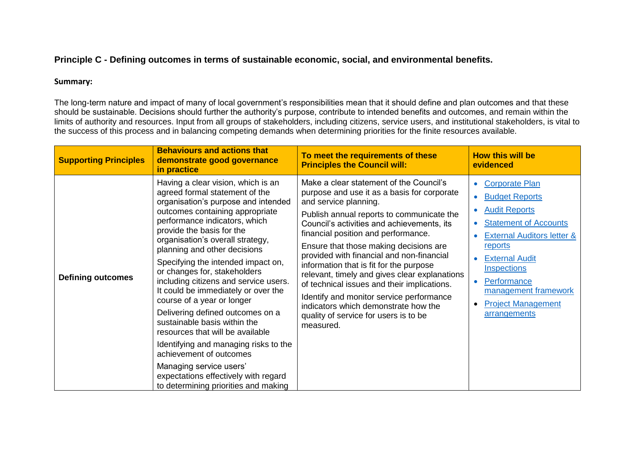## **Principle C - Defining outcomes in terms of sustainable economic, social, and environmental benefits.**

#### **Summary:**

The long-term nature and impact of many of local government's responsibilities mean that it should define and plan outcomes and that these should be sustainable. Decisions should further the authority's purpose, contribute to intended benefits and outcomes, and remain within the limits of authority and resources. Input from all groups of stakeholders, including citizens, service users, and institutional stakeholders, is vital to the success of this process and in balancing competing demands when determining priorities for the finite resources available.

| <b>Supporting Principles</b> | <b>Behaviours and actions that</b><br>demonstrate good governance<br>in practice                                                                                                                                                                                                                                                                                                                                                                                                                                                                                                                                                                                                                                                                            | To meet the requirements of these<br><b>Principles the Council will:</b>                                                                                                                                                                                                                                                                                                                                                                                                                                                                                                                                                      | <b>How this will be</b><br>evidenced                                                                                                                                                                                                                                                                                                              |
|------------------------------|-------------------------------------------------------------------------------------------------------------------------------------------------------------------------------------------------------------------------------------------------------------------------------------------------------------------------------------------------------------------------------------------------------------------------------------------------------------------------------------------------------------------------------------------------------------------------------------------------------------------------------------------------------------------------------------------------------------------------------------------------------------|-------------------------------------------------------------------------------------------------------------------------------------------------------------------------------------------------------------------------------------------------------------------------------------------------------------------------------------------------------------------------------------------------------------------------------------------------------------------------------------------------------------------------------------------------------------------------------------------------------------------------------|---------------------------------------------------------------------------------------------------------------------------------------------------------------------------------------------------------------------------------------------------------------------------------------------------------------------------------------------------|
| <b>Defining outcomes</b>     | Having a clear vision, which is an<br>agreed formal statement of the<br>organisation's purpose and intended<br>outcomes containing appropriate<br>performance indicators, which<br>provide the basis for the<br>organisation's overall strategy,<br>planning and other decisions<br>Specifying the intended impact on,<br>or changes for, stakeholders<br>including citizens and service users.<br>It could be immediately or over the<br>course of a year or longer<br>Delivering defined outcomes on a<br>sustainable basis within the<br>resources that will be available<br>Identifying and managing risks to the<br>achievement of outcomes<br>Managing service users'<br>expectations effectively with regard<br>to determining priorities and making | Make a clear statement of the Council's<br>purpose and use it as a basis for corporate<br>and service planning.<br>Publish annual reports to communicate the<br>Council's activities and achievements, its<br>financial position and performance.<br>Ensure that those making decisions are<br>provided with financial and non-financial<br>information that is fit for the purpose<br>relevant, timely and gives clear explanations<br>of technical issues and their implications.<br>Identify and monitor service performance<br>indicators which demonstrate how the<br>quality of service for users is to be<br>measured. | <b>Corporate Plan</b><br><b>Budget Reports</b><br>$\bullet$<br><b>Audit Reports</b><br>$\bullet$<br><b>Statement of Accounts</b><br>$\bullet$<br><b>External Auditors letter &amp;</b><br>reports<br><b>External Audit</b><br><b>Inspections</b><br>Performance<br>management framework<br><b>Project Management</b><br>$\bullet$<br>arrangements |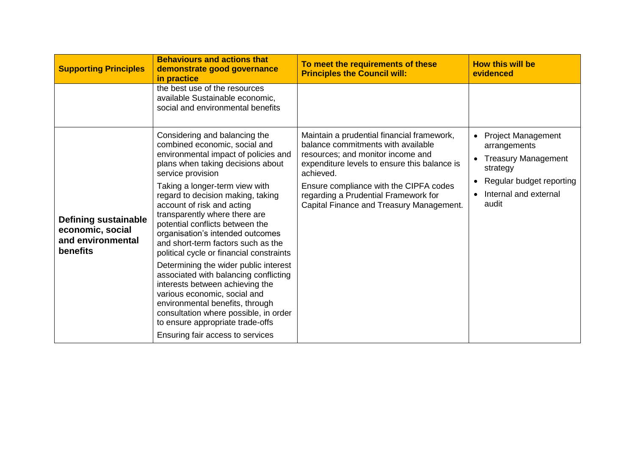| <b>Supporting Principles</b>                                                     | <b>Behaviours and actions that</b><br>demonstrate good governance<br>in practice                                                                                                                                                                                                                                                                                                                                                                                                                                                                                                                                                                                                                                                                                         | To meet the requirements of these<br><b>Principles the Council will:</b>                                                                                                                                                                                                                                         | <b>How this will be</b><br>evidenced                                                                                                         |
|----------------------------------------------------------------------------------|--------------------------------------------------------------------------------------------------------------------------------------------------------------------------------------------------------------------------------------------------------------------------------------------------------------------------------------------------------------------------------------------------------------------------------------------------------------------------------------------------------------------------------------------------------------------------------------------------------------------------------------------------------------------------------------------------------------------------------------------------------------------------|------------------------------------------------------------------------------------------------------------------------------------------------------------------------------------------------------------------------------------------------------------------------------------------------------------------|----------------------------------------------------------------------------------------------------------------------------------------------|
|                                                                                  | the best use of the resources<br>available Sustainable economic,<br>social and environmental benefits                                                                                                                                                                                                                                                                                                                                                                                                                                                                                                                                                                                                                                                                    |                                                                                                                                                                                                                                                                                                                  |                                                                                                                                              |
| <b>Defining sustainable</b><br>economic, social<br>and environmental<br>benefits | Considering and balancing the<br>combined economic, social and<br>environmental impact of policies and<br>plans when taking decisions about<br>service provision<br>Taking a longer-term view with<br>regard to decision making, taking<br>account of risk and acting<br>transparently where there are<br>potential conflicts between the<br>organisation's intended outcomes<br>and short-term factors such as the<br>political cycle or financial constraints<br>Determining the wider public interest<br>associated with balancing conflicting<br>interests between achieving the<br>various economic, social and<br>environmental benefits, through<br>consultation where possible, in order<br>to ensure appropriate trade-offs<br>Ensuring fair access to services | Maintain a prudential financial framework,<br>balance commitments with available<br>resources; and monitor income and<br>expenditure levels to ensure this balance is<br>achieved.<br>Ensure compliance with the CIPFA codes<br>regarding a Prudential Framework for<br>Capital Finance and Treasury Management. | • Project Management<br>arrangements<br><b>Treasury Management</b><br>strategy<br>Regular budget reporting<br>Internal and external<br>audit |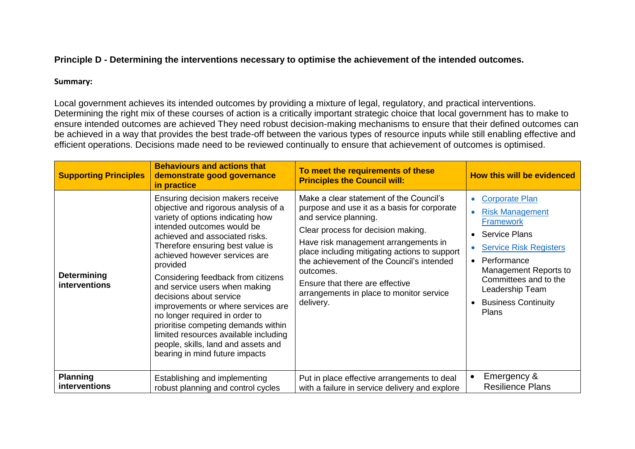# **Principle D - Determining the interventions necessary to optimise the achievement of the intended outcomes.**

### **Summary:**

Local government achieves its intended outcomes by providing a mixture of legal, regulatory, and practical interventions. Determining the right mix of these courses of action is a critically important strategic choice that local government has to make to ensure intended outcomes are achieved They need robust decision-making mechanisms to ensure that their defined outcomes can be achieved in a way that provides the best trade-off between the various types of resource inputs while still enabling effective and efficient operations. Decisions made need to be reviewed continually to ensure that achievement of outcomes is optimised.

| <b>Supporting Principles</b>               | <b>Behaviours and actions that</b><br>demonstrate good governance<br>in practice                                                                                                                                                                                                                                                                                                                                                                                                                                                                                                                  | To meet the requirements of these<br><b>Principles the Council will:</b>                                                                                                                                                                                                                                                                                                                             | <b>How this will be evidenced</b>                                                                                                                                                                                                                                                 |
|--------------------------------------------|---------------------------------------------------------------------------------------------------------------------------------------------------------------------------------------------------------------------------------------------------------------------------------------------------------------------------------------------------------------------------------------------------------------------------------------------------------------------------------------------------------------------------------------------------------------------------------------------------|------------------------------------------------------------------------------------------------------------------------------------------------------------------------------------------------------------------------------------------------------------------------------------------------------------------------------------------------------------------------------------------------------|-----------------------------------------------------------------------------------------------------------------------------------------------------------------------------------------------------------------------------------------------------------------------------------|
| <b>Determining</b><br><b>interventions</b> | Ensuring decision makers receive<br>objective and rigorous analysis of a<br>variety of options indicating how<br>intended outcomes would be<br>achieved and associated risks.<br>Therefore ensuring best value is<br>achieved however services are<br>provided<br>Considering feedback from citizens<br>and service users when making<br>decisions about service<br>improvements or where services are<br>no longer required in order to<br>prioritise competing demands within<br>limited resources available including<br>people, skills, land and assets and<br>bearing in mind future impacts | Make a clear statement of the Council's<br>purpose and use it as a basis for corporate<br>and service planning.<br>Clear process for decision making.<br>Have risk management arrangements in<br>place including mitigating actions to support<br>the achievement of the Council's intended<br>outcomes.<br>Ensure that there are effective<br>arrangements in place to monitor service<br>delivery. | <b>Corporate Plan</b><br>$\bullet$<br><b>Risk Management</b><br><b>Framework</b><br><b>Service Plans</b><br><b>Service Risk Registers</b><br>Performance<br>$\bullet$<br>Management Reports to<br>Committees and to the<br>Leadership Team<br><b>Business Continuity</b><br>Plans |
| <b>Planning</b><br>interventions           | Establishing and implementing<br>robust planning and control cycles                                                                                                                                                                                                                                                                                                                                                                                                                                                                                                                               | Put in place effective arrangements to deal<br>with a failure in service delivery and explore                                                                                                                                                                                                                                                                                                        | Emergency &<br><b>Resilience Plans</b>                                                                                                                                                                                                                                            |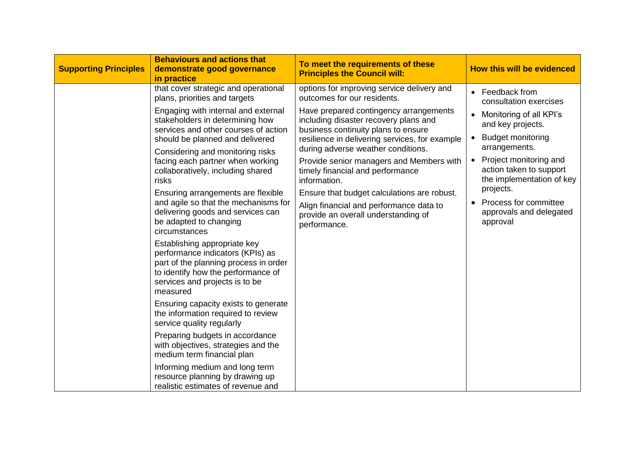| <b>Supporting Principles</b> | <b>Behaviours and actions that</b><br>demonstrate good governance<br>in practice                                                                                                                                                                                                                                                                                                                                                                                                                                                                                                                                                                                                                                                                                                                                                                                                                                                                                                                                                              | To meet the requirements of these<br><b>Principles the Council will:</b>                                                                                                                                                                                                                                                                                                                                                                                                                                                                     | <b>How this will be evidenced</b>                                                                                                                                                                                                                                                                                             |
|------------------------------|-----------------------------------------------------------------------------------------------------------------------------------------------------------------------------------------------------------------------------------------------------------------------------------------------------------------------------------------------------------------------------------------------------------------------------------------------------------------------------------------------------------------------------------------------------------------------------------------------------------------------------------------------------------------------------------------------------------------------------------------------------------------------------------------------------------------------------------------------------------------------------------------------------------------------------------------------------------------------------------------------------------------------------------------------|----------------------------------------------------------------------------------------------------------------------------------------------------------------------------------------------------------------------------------------------------------------------------------------------------------------------------------------------------------------------------------------------------------------------------------------------------------------------------------------------------------------------------------------------|-------------------------------------------------------------------------------------------------------------------------------------------------------------------------------------------------------------------------------------------------------------------------------------------------------------------------------|
|                              | that cover strategic and operational<br>plans, priorities and targets<br>Engaging with internal and external<br>stakeholders in determining how<br>services and other courses of action<br>should be planned and delivered<br>Considering and monitoring risks<br>facing each partner when working<br>collaboratively, including shared<br>risks<br>Ensuring arrangements are flexible<br>and agile so that the mechanisms for<br>delivering goods and services can<br>be adapted to changing<br>circumstances<br>Establishing appropriate key<br>performance indicators (KPIs) as<br>part of the planning process in order<br>to identify how the performance of<br>services and projects is to be<br>measured<br>Ensuring capacity exists to generate<br>the information required to review<br>service quality regularly<br>Preparing budgets in accordance<br>with objectives, strategies and the<br>medium term financial plan<br>Informing medium and long term<br>resource planning by drawing up<br>realistic estimates of revenue and | options for improving service delivery and<br>outcomes for our residents.<br>Have prepared contingency arrangements<br>including disaster recovery plans and<br>business continuity plans to ensure<br>resilience in delivering services, for example<br>during adverse weather conditions.<br>Provide senior managers and Members with<br>timely financial and performance<br>information.<br>Ensure that budget calculations are robust.<br>Align financial and performance data to<br>provide an overall understanding of<br>performance. | Feedback from<br>$\bullet$<br>consultation exercises<br>Monitoring of all KPI's<br>$\bullet$<br>and key projects.<br><b>Budget monitoring</b><br>arrangements.<br>Project monitoring and<br>action taken to support<br>the implementation of key<br>projects.<br>Process for committee<br>approvals and delegated<br>approval |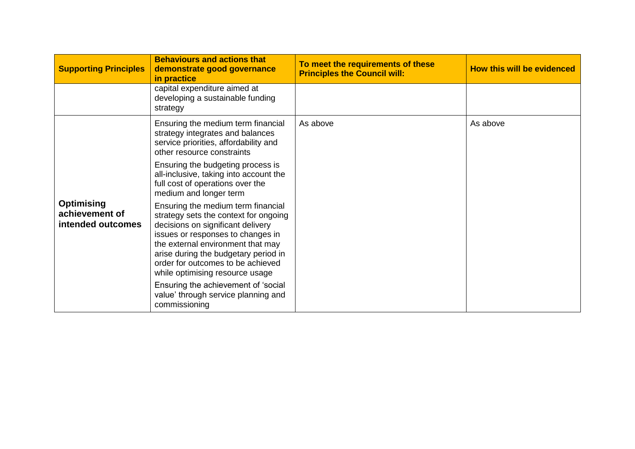| <b>Supporting Principles</b>                             | <b>Behaviours and actions that</b><br>demonstrate good governance<br>in practice                                                                                                                                                                                                                           | To meet the requirements of these<br><b>Principles the Council will:</b> | How this will be evidenced |
|----------------------------------------------------------|------------------------------------------------------------------------------------------------------------------------------------------------------------------------------------------------------------------------------------------------------------------------------------------------------------|--------------------------------------------------------------------------|----------------------------|
|                                                          | capital expenditure aimed at<br>developing a sustainable funding<br>strategy                                                                                                                                                                                                                               |                                                                          |                            |
|                                                          | Ensuring the medium term financial<br>strategy integrates and balances<br>service priorities, affordability and<br>other resource constraints                                                                                                                                                              | As above                                                                 | As above                   |
|                                                          | Ensuring the budgeting process is<br>all-inclusive, taking into account the<br>full cost of operations over the<br>medium and longer term                                                                                                                                                                  |                                                                          |                            |
| <b>Optimising</b><br>achievement of<br>intended outcomes | Ensuring the medium term financial<br>strategy sets the context for ongoing<br>decisions on significant delivery<br>issues or responses to changes in<br>the external environment that may<br>arise during the budgetary period in<br>order for outcomes to be achieved<br>while optimising resource usage |                                                                          |                            |
|                                                          | Ensuring the achievement of 'social<br>value' through service planning and<br>commissioning                                                                                                                                                                                                                |                                                                          |                            |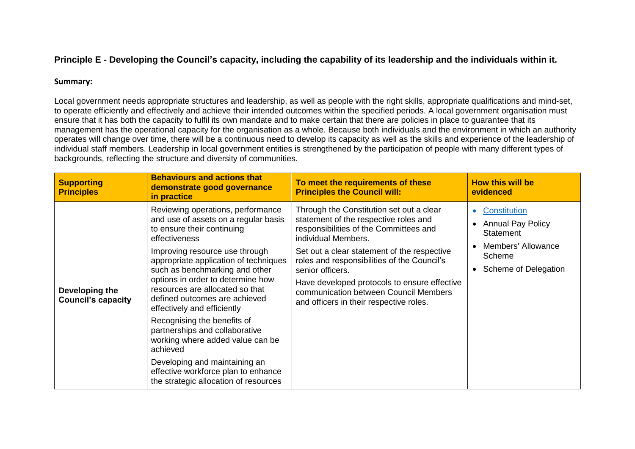# **Principle E - Developing the Council's capacity, including the capability of its leadership and the individuals within it.**

#### **Summary:**

Local government needs appropriate structures and leadership, as well as people with the right skills, appropriate qualifications and mind-set, to operate efficiently and effectively and achieve their intended outcomes within the specified periods. A local government organisation must ensure that it has both the capacity to fulfil its own mandate and to make certain that there are policies in place to guarantee that its management has the operational capacity for the organisation as a whole. Because both individuals and the environment in which an authority operates will change over time, there will be a continuous need to develop its capacity as well as the skills and experience of the leadership of individual staff members. Leadership in local government entities is strengthened by the participation of people with many different types of backgrounds, reflecting the structure and diversity of communities.

| <b>Supporting</b><br><b>Principles</b>      | <b>Behaviours and actions that</b><br>demonstrate good governance<br>in practice                                                                                                                                                                                                                                                                                                                                                                                                                                                                                                                                | To meet the requirements of these<br><b>Principles the Council will:</b>                                                                                                                                                                                                                                                                                                                                 | <b>How this will be</b><br>evidenced                                                                          |
|---------------------------------------------|-----------------------------------------------------------------------------------------------------------------------------------------------------------------------------------------------------------------------------------------------------------------------------------------------------------------------------------------------------------------------------------------------------------------------------------------------------------------------------------------------------------------------------------------------------------------------------------------------------------------|----------------------------------------------------------------------------------------------------------------------------------------------------------------------------------------------------------------------------------------------------------------------------------------------------------------------------------------------------------------------------------------------------------|---------------------------------------------------------------------------------------------------------------|
| Developing the<br><b>Council's capacity</b> | Reviewing operations, performance<br>and use of assets on a regular basis<br>to ensure their continuing<br>effectiveness<br>Improving resource use through<br>appropriate application of techniques<br>such as benchmarking and other<br>options in order to determine how<br>resources are allocated so that<br>defined outcomes are achieved<br>effectively and efficiently<br>Recognising the benefits of<br>partnerships and collaborative<br>working where added value can be<br>achieved<br>Developing and maintaining an<br>effective workforce plan to enhance<br>the strategic allocation of resources | Through the Constitution set out a clear<br>statement of the respective roles and<br>responsibilities of the Committees and<br>individual Members.<br>Set out a clear statement of the respective<br>roles and responsibilities of the Council's<br>senior officers.<br>Have developed protocols to ensure effective<br>communication between Council Members<br>and officers in their respective roles. | Constitution<br><b>Annual Pay Policy</b><br>Statement<br>Members' Allowance<br>Scheme<br>Scheme of Delegation |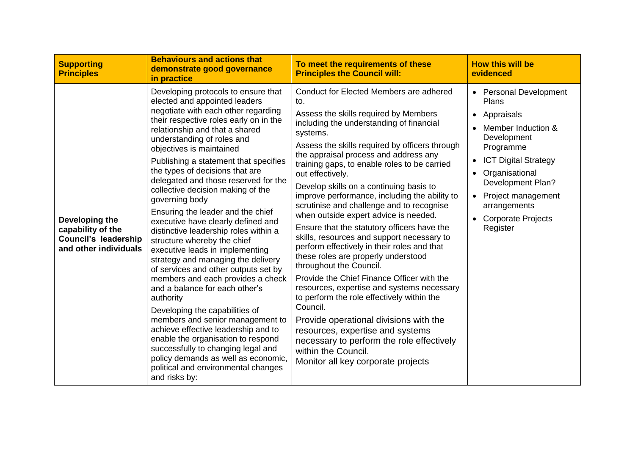| <b>Supporting</b><br><b>Principles</b>                                                      | <b>Behaviours and actions that</b><br>demonstrate good governance<br>in practice                                                                                                                                                                                                                                                                                                                                                                                                                                                                                                                                                                                                                                                                                                                                                                                                                                                                                                                                                                                             | To meet the requirements of these<br><b>Principles the Council will:</b>                                                                                                                                                                                                                                                                                                                                                                                                                                                                                                                                                                                                                                                                                                                                                                                                                                                                                                                                                                                     | <b>How this will be</b><br>evidenced                                                                                                                                                                                                                                          |
|---------------------------------------------------------------------------------------------|------------------------------------------------------------------------------------------------------------------------------------------------------------------------------------------------------------------------------------------------------------------------------------------------------------------------------------------------------------------------------------------------------------------------------------------------------------------------------------------------------------------------------------------------------------------------------------------------------------------------------------------------------------------------------------------------------------------------------------------------------------------------------------------------------------------------------------------------------------------------------------------------------------------------------------------------------------------------------------------------------------------------------------------------------------------------------|--------------------------------------------------------------------------------------------------------------------------------------------------------------------------------------------------------------------------------------------------------------------------------------------------------------------------------------------------------------------------------------------------------------------------------------------------------------------------------------------------------------------------------------------------------------------------------------------------------------------------------------------------------------------------------------------------------------------------------------------------------------------------------------------------------------------------------------------------------------------------------------------------------------------------------------------------------------------------------------------------------------------------------------------------------------|-------------------------------------------------------------------------------------------------------------------------------------------------------------------------------------------------------------------------------------------------------------------------------|
| Developing the<br>capability of the<br><b>Council's leadership</b><br>and other individuals | Developing protocols to ensure that<br>elected and appointed leaders<br>negotiate with each other regarding<br>their respective roles early on in the<br>relationship and that a shared<br>understanding of roles and<br>objectives is maintained<br>Publishing a statement that specifies<br>the types of decisions that are<br>delegated and those reserved for the<br>collective decision making of the<br>governing body<br>Ensuring the leader and the chief<br>executive have clearly defined and<br>distinctive leadership roles within a<br>structure whereby the chief<br>executive leads in implementing<br>strategy and managing the delivery<br>of services and other outputs set by<br>members and each provides a check<br>and a balance for each other's<br>authority<br>Developing the capabilities of<br>members and senior management to<br>achieve effective leadership and to<br>enable the organisation to respond<br>successfully to changing legal and<br>policy demands as well as economic,<br>political and environmental changes<br>and risks by: | Conduct for Elected Members are adhered<br>to.<br>Assess the skills required by Members<br>including the understanding of financial<br>systems.<br>Assess the skills required by officers through<br>the appraisal process and address any<br>training gaps, to enable roles to be carried<br>out effectively.<br>Develop skills on a continuing basis to<br>improve performance, including the ability to<br>scrutinise and challenge and to recognise<br>when outside expert advice is needed.<br>Ensure that the statutory officers have the<br>skills, resources and support necessary to<br>perform effectively in their roles and that<br>these roles are properly understood<br>throughout the Council.<br>Provide the Chief Finance Officer with the<br>resources, expertise and systems necessary<br>to perform the role effectively within the<br>Council.<br>Provide operational divisions with the<br>resources, expertise and systems<br>necessary to perform the role effectively<br>within the Council.<br>Monitor all key corporate projects | <b>Personal Development</b><br>Plans<br>Appraisals<br>$\bullet$<br>Member Induction &<br>Development<br>Programme<br><b>ICT Digital Strategy</b><br>Organisational<br><b>Development Plan?</b><br>Project management<br>arrangements<br><b>Corporate Projects</b><br>Register |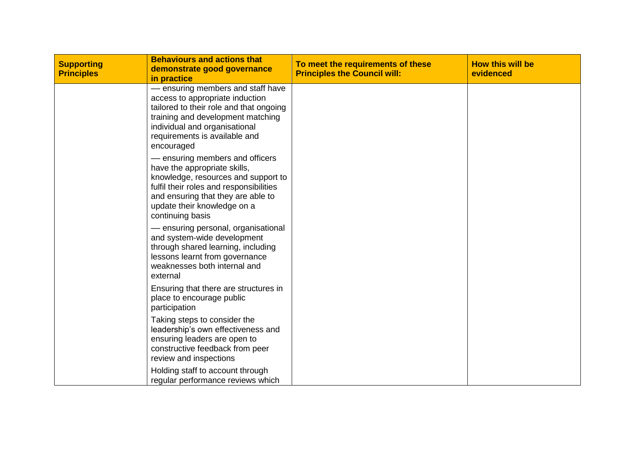| <b>Supporting</b><br><b>Principles</b> | <b>Behaviours and actions that</b><br>demonstrate good governance<br>in practice                                                                                                                                                           | To meet the requirements of these<br><b>Principles the Council will:</b> | <b>How this will be</b><br>evidenced |
|----------------------------------------|--------------------------------------------------------------------------------------------------------------------------------------------------------------------------------------------------------------------------------------------|--------------------------------------------------------------------------|--------------------------------------|
|                                        | - ensuring members and staff have<br>access to appropriate induction<br>tailored to their role and that ongoing<br>training and development matching<br>individual and organisational<br>requirements is available and<br>encouraged       |                                                                          |                                      |
|                                        | - ensuring members and officers<br>have the appropriate skills,<br>knowledge, resources and support to<br>fulfil their roles and responsibilities<br>and ensuring that they are able to<br>update their knowledge on a<br>continuing basis |                                                                          |                                      |
|                                        | - ensuring personal, organisational<br>and system-wide development<br>through shared learning, including<br>lessons learnt from governance<br>weaknesses both internal and<br>external                                                     |                                                                          |                                      |
|                                        | Ensuring that there are structures in<br>place to encourage public<br>participation                                                                                                                                                        |                                                                          |                                      |
|                                        | Taking steps to consider the<br>leadership's own effectiveness and<br>ensuring leaders are open to<br>constructive feedback from peer<br>review and inspections                                                                            |                                                                          |                                      |
|                                        | Holding staff to account through<br>regular performance reviews which                                                                                                                                                                      |                                                                          |                                      |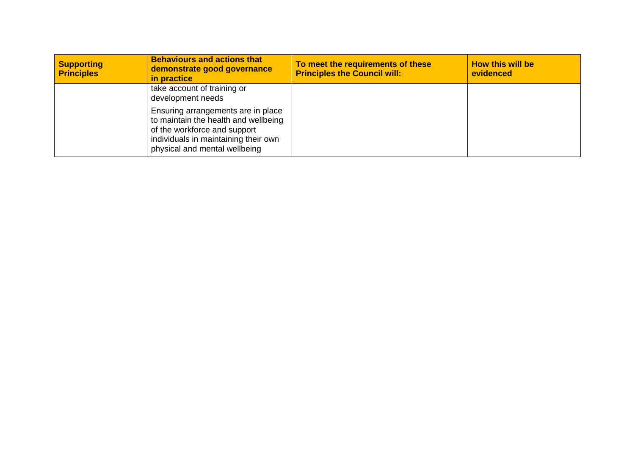| <b>Supporting</b><br><b>Principles</b> | <b>Behaviours and actions that</b><br>demonstrate good governance<br>in practice                                                                                                    | To meet the requirements of these<br><b>Principles the Council will:</b> | <b>How this will be</b><br>evidenced |
|----------------------------------------|-------------------------------------------------------------------------------------------------------------------------------------------------------------------------------------|--------------------------------------------------------------------------|--------------------------------------|
|                                        | take account of training or<br>development needs                                                                                                                                    |                                                                          |                                      |
|                                        | Ensuring arrangements are in place<br>to maintain the health and wellbeing<br>of the workforce and support<br>individuals in maintaining their own<br>physical and mental wellbeing |                                                                          |                                      |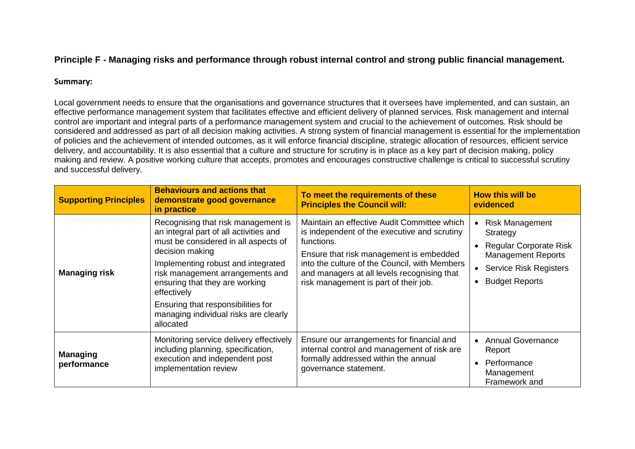# **Principle F - Managing risks and performance through robust internal control and strong public financial management.**

#### **Summary:**

Local government needs to ensure that the organisations and governance structures that it oversees have implemented, and can sustain, an effective performance management system that facilitates effective and efficient delivery of planned services. Risk management and internal control are important and integral parts of a performance management system and crucial to the achievement of outcomes. Risk should be considered and addressed as part of all decision making activities. A strong system of financial management is essential for the implementation of policies and the achievement of intended outcomes, as it will enforce financial discipline, strategic allocation of resources, efficient service delivery, and accountability. It is also essential that a culture and structure for scrutiny is in place as a key part of decision making, policy making and review. A positive working culture that accepts, promotes and encourages constructive challenge is critical to successful scrutiny and successful delivery.

| <b>Supporting Principles</b>   | <b>Behaviours and actions that</b><br>demonstrate good governance<br>in practice                                                                                                                                                                                                                                                                                | To meet the requirements of these<br><b>Principles the Council will:</b>                                                                                                                                                                                                                      | <b>How this will be</b><br>evidenced                                                                                                                  |
|--------------------------------|-----------------------------------------------------------------------------------------------------------------------------------------------------------------------------------------------------------------------------------------------------------------------------------------------------------------------------------------------------------------|-----------------------------------------------------------------------------------------------------------------------------------------------------------------------------------------------------------------------------------------------------------------------------------------------|-------------------------------------------------------------------------------------------------------------------------------------------------------|
| <b>Managing risk</b>           | Recognising that risk management is<br>an integral part of all activities and<br>must be considered in all aspects of<br>decision making<br>Implementing robust and integrated<br>risk management arrangements and<br>ensuring that they are working<br>effectively<br>Ensuring that responsibilities for<br>managing individual risks are clearly<br>allocated | Maintain an effective Audit Committee which<br>is independent of the executive and scrutiny<br>functions.<br>Ensure that risk management is embedded<br>into the culture of the Council, with Members<br>and managers at all levels recognising that<br>risk management is part of their job. | <b>Risk Management</b><br>Strategy<br>• Regular Corporate Risk<br><b>Management Reports</b><br><b>Service Risk Registers</b><br><b>Budget Reports</b> |
| <b>Managing</b><br>performance | Monitoring service delivery effectively<br>including planning, specification,<br>execution and independent post<br>implementation review                                                                                                                                                                                                                        | Ensure our arrangements for financial and<br>internal control and management of risk are<br>formally addressed within the annual<br>governance statement.                                                                                                                                     | • Annual Governance<br>Report<br>Performance<br>Management<br>Framework and                                                                           |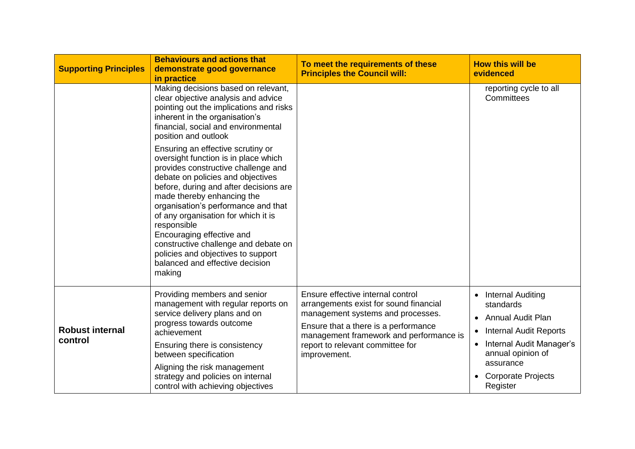| <b>Supporting Principles</b>      | <b>Behaviours and actions that</b><br>demonstrate good governance<br>in practice                                                                                                                                                                                                                                                                                                                                                                                                   | To meet the requirements of these<br><b>Principles the Council will:</b>                                                                                                                                                                                | <b>How this will be</b><br>evidenced                                                                                                                                                       |
|-----------------------------------|------------------------------------------------------------------------------------------------------------------------------------------------------------------------------------------------------------------------------------------------------------------------------------------------------------------------------------------------------------------------------------------------------------------------------------------------------------------------------------|---------------------------------------------------------------------------------------------------------------------------------------------------------------------------------------------------------------------------------------------------------|--------------------------------------------------------------------------------------------------------------------------------------------------------------------------------------------|
|                                   | Making decisions based on relevant,<br>clear objective analysis and advice<br>pointing out the implications and risks<br>inherent in the organisation's<br>financial, social and environmental<br>position and outlook                                                                                                                                                                                                                                                             |                                                                                                                                                                                                                                                         | reporting cycle to all<br>Committees                                                                                                                                                       |
|                                   | Ensuring an effective scrutiny or<br>oversight function is in place which<br>provides constructive challenge and<br>debate on policies and objectives<br>before, during and after decisions are<br>made thereby enhancing the<br>organisation's performance and that<br>of any organisation for which it is<br>responsible<br>Encouraging effective and<br>constructive challenge and debate on<br>policies and objectives to support<br>balanced and effective decision<br>making |                                                                                                                                                                                                                                                         |                                                                                                                                                                                            |
| <b>Robust internal</b><br>control | Providing members and senior<br>management with regular reports on<br>service delivery plans and on<br>progress towards outcome<br>achievement<br>Ensuring there is consistency<br>between specification<br>Aligning the risk management<br>strategy and policies on internal<br>control with achieving objectives                                                                                                                                                                 | Ensure effective internal control<br>arrangements exist for sound financial<br>management systems and processes.<br>Ensure that a there is a performance<br>management framework and performance is<br>report to relevant committee for<br>improvement. | Internal Auditing<br>standards<br>• Annual Audit Plan<br><b>Internal Audit Reports</b><br>• Internal Audit Manager's<br>annual opinion of<br>assurance<br>• Corporate Projects<br>Register |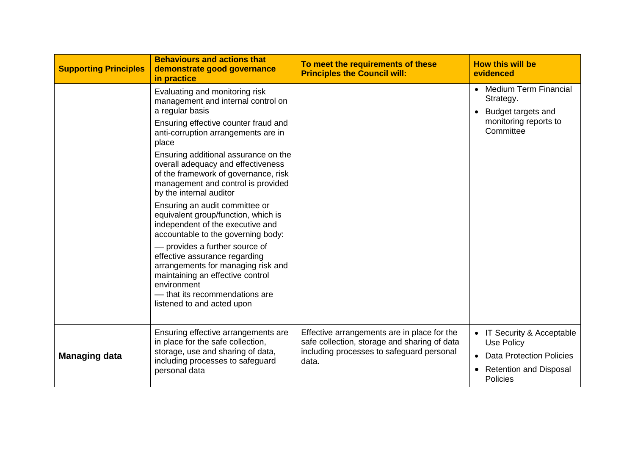| <b>Supporting Principles</b> | <b>Behaviours and actions that</b><br>demonstrate good governance<br>in practice                                                                                                                                                                                                                                                                                                                                                                                                                                                                                                                                                                                                                                                                      | To meet the requirements of these<br><b>Principles the Council will:</b>                                                                          | <b>How this will be</b><br>evidenced                                                                                                              |
|------------------------------|-------------------------------------------------------------------------------------------------------------------------------------------------------------------------------------------------------------------------------------------------------------------------------------------------------------------------------------------------------------------------------------------------------------------------------------------------------------------------------------------------------------------------------------------------------------------------------------------------------------------------------------------------------------------------------------------------------------------------------------------------------|---------------------------------------------------------------------------------------------------------------------------------------------------|---------------------------------------------------------------------------------------------------------------------------------------------------|
|                              | Evaluating and monitoring risk<br>management and internal control on<br>a regular basis<br>Ensuring effective counter fraud and<br>anti-corruption arrangements are in<br>place<br>Ensuring additional assurance on the<br>overall adequacy and effectiveness<br>of the framework of governance, risk<br>management and control is provided<br>by the internal auditor<br>Ensuring an audit committee or<br>equivalent group/function, which is<br>independent of the executive and<br>accountable to the governing body:<br>- provides a further source of<br>effective assurance regarding<br>arrangements for managing risk and<br>maintaining an effective control<br>environment<br>- that its recommendations are<br>listened to and acted upon |                                                                                                                                                   | • Medium Term Financial<br>Strategy.<br>Budget targets and<br>$\bullet$<br>monitoring reports to<br>Committee                                     |
| <b>Managing data</b>         | Ensuring effective arrangements are<br>in place for the safe collection,<br>storage, use and sharing of data,<br>including processes to safeguard<br>personal data                                                                                                                                                                                                                                                                                                                                                                                                                                                                                                                                                                                    | Effective arrangements are in place for the<br>safe collection, storage and sharing of data<br>including processes to safeguard personal<br>data. | IT Security & Acceptable<br><b>Use Policy</b><br><b>Data Protection Policies</b><br><b>Retention and Disposal</b><br>$\bullet$<br><b>Policies</b> |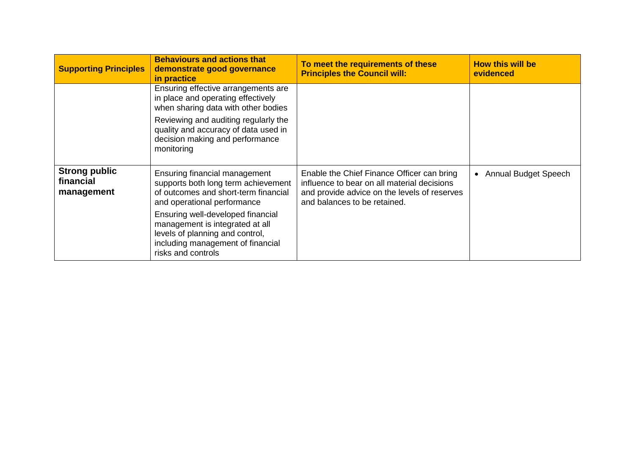| <b>Supporting Principles</b>                    | <b>Behaviours and actions that</b><br>demonstrate good governance<br>in practice                                                                                   | To meet the requirements of these<br><b>Principles the Council will:</b>                                                                                                  | <b>How this will be</b><br>evidenced |
|-------------------------------------------------|--------------------------------------------------------------------------------------------------------------------------------------------------------------------|---------------------------------------------------------------------------------------------------------------------------------------------------------------------------|--------------------------------------|
|                                                 | Ensuring effective arrangements are<br>in place and operating effectively<br>when sharing data with other bodies                                                   |                                                                                                                                                                           |                                      |
|                                                 | Reviewing and auditing regularly the<br>quality and accuracy of data used in<br>decision making and performance<br>monitoring                                      |                                                                                                                                                                           |                                      |
| <b>Strong public</b><br>financial<br>management | Ensuring financial management<br>supports both long term achievement<br>of outcomes and short-term financial<br>and operational performance                        | Enable the Chief Finance Officer can bring<br>influence to bear on all material decisions<br>and provide advice on the levels of reserves<br>and balances to be retained. | • Annual Budget Speech               |
|                                                 | Ensuring well-developed financial<br>management is integrated at all<br>levels of planning and control,<br>including management of financial<br>risks and controls |                                                                                                                                                                           |                                      |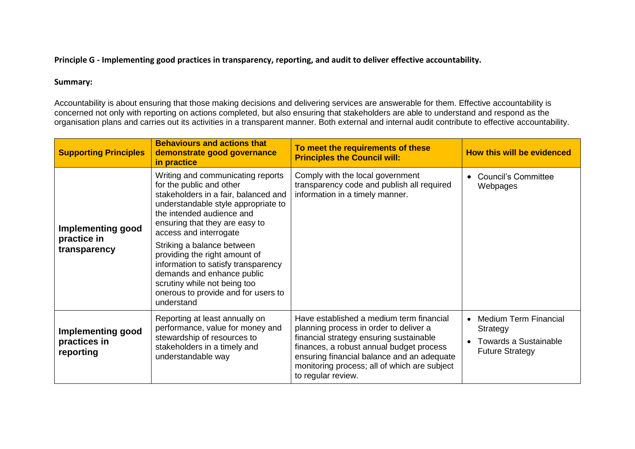### **Principle G - Implementing good practices in transparency, reporting, and audit to deliver effective accountability.**

### **Summary:**

Accountability is about ensuring that those making decisions and delivering services are answerable for them. Effective accountability is concerned not only with reporting on actions completed, but also ensuring that stakeholders are able to understand and respond as the organisation plans and carries out its activities in a transparent manner. Both external and internal audit contribute to effective accountability.

| <b>Supporting Principles</b>                            | <b>Behaviours and actions that</b><br>demonstrate good governance<br>in practice                                                                                                                                                                                                                                                                                                                                                                               | To meet the requirements of these<br><b>Principles the Council will:</b>                                                                                                                                                                                                                      | <b>How this will be evidenced</b>                                                                  |
|---------------------------------------------------------|----------------------------------------------------------------------------------------------------------------------------------------------------------------------------------------------------------------------------------------------------------------------------------------------------------------------------------------------------------------------------------------------------------------------------------------------------------------|-----------------------------------------------------------------------------------------------------------------------------------------------------------------------------------------------------------------------------------------------------------------------------------------------|----------------------------------------------------------------------------------------------------|
| <b>Implementing good</b><br>practice in<br>transparency | Writing and communicating reports<br>for the public and other<br>stakeholders in a fair, balanced and<br>understandable style appropriate to<br>the intended audience and<br>ensuring that they are easy to<br>access and interrogate<br>Striking a balance between<br>providing the right amount of<br>information to satisfy transparency<br>demands and enhance public<br>scrutiny while not being too<br>onerous to provide and for users to<br>understand | Comply with the local government<br>transparency code and publish all required<br>information in a timely manner.                                                                                                                                                                             | <b>Council's Committee</b><br>Webpages                                                             |
| <b>Implementing good</b><br>practices in<br>reporting   | Reporting at least annually on<br>performance, value for money and<br>stewardship of resources to<br>stakeholders in a timely and<br>understandable way                                                                                                                                                                                                                                                                                                        | Have established a medium term financial<br>planning process in order to deliver a<br>financial strategy ensuring sustainable<br>finances, a robust annual budget process<br>ensuring financial balance and an adequate<br>monitoring process; all of which are subject<br>to regular review. | <b>Medium Term Financial</b><br>Strategy<br><b>Towards a Sustainable</b><br><b>Future Strategy</b> |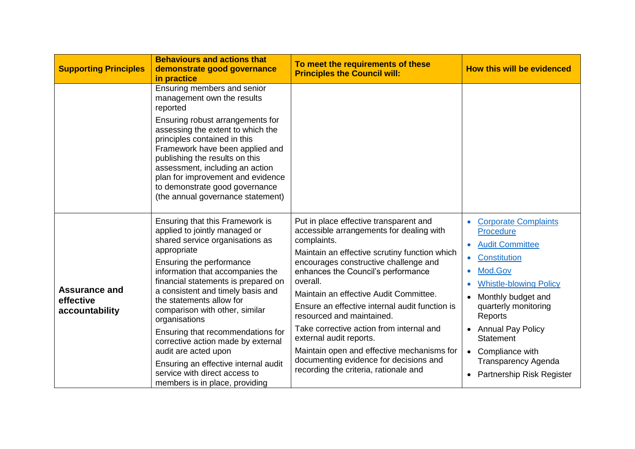| <b>Supporting Principles</b>                        | <b>Behaviours and actions that</b><br>demonstrate good governance<br>in practice                                                                                                                                                                                                                                                                                                                                                                                                                                                                            | To meet the requirements of these<br><b>Principles the Council will:</b>                                                                                                                                                                                                                                                                                                                                                                                                                                                                                                       | <b>How this will be evidenced</b>                                                                                                                                                                                                                                                                                                                     |
|-----------------------------------------------------|-------------------------------------------------------------------------------------------------------------------------------------------------------------------------------------------------------------------------------------------------------------------------------------------------------------------------------------------------------------------------------------------------------------------------------------------------------------------------------------------------------------------------------------------------------------|--------------------------------------------------------------------------------------------------------------------------------------------------------------------------------------------------------------------------------------------------------------------------------------------------------------------------------------------------------------------------------------------------------------------------------------------------------------------------------------------------------------------------------------------------------------------------------|-------------------------------------------------------------------------------------------------------------------------------------------------------------------------------------------------------------------------------------------------------------------------------------------------------------------------------------------------------|
|                                                     | Ensuring members and senior<br>management own the results<br>reported                                                                                                                                                                                                                                                                                                                                                                                                                                                                                       |                                                                                                                                                                                                                                                                                                                                                                                                                                                                                                                                                                                |                                                                                                                                                                                                                                                                                                                                                       |
|                                                     | Ensuring robust arrangements for<br>assessing the extent to which the<br>principles contained in this<br>Framework have been applied and<br>publishing the results on this<br>assessment, including an action<br>plan for improvement and evidence<br>to demonstrate good governance<br>(the annual governance statement)                                                                                                                                                                                                                                   |                                                                                                                                                                                                                                                                                                                                                                                                                                                                                                                                                                                |                                                                                                                                                                                                                                                                                                                                                       |
| <b>Assurance and</b><br>effective<br>accountability | Ensuring that this Framework is<br>applied to jointly managed or<br>shared service organisations as<br>appropriate<br>Ensuring the performance<br>information that accompanies the<br>financial statements is prepared on<br>a consistent and timely basis and<br>the statements allow for<br>comparison with other, similar<br>organisations<br>Ensuring that recommendations for<br>corrective action made by external<br>audit are acted upon<br>Ensuring an effective internal audit<br>service with direct access to<br>members is in place, providing | Put in place effective transparent and<br>accessible arrangements for dealing with<br>complaints.<br>Maintain an effective scrutiny function which<br>encourages constructive challenge and<br>enhances the Council's performance<br>overall.<br>Maintain an effective Audit Committee.<br>Ensure an effective internal audit function is<br>resourced and maintained.<br>Take corrective action from internal and<br>external audit reports.<br>Maintain open and effective mechanisms for<br>documenting evidence for decisions and<br>recording the criteria, rationale and | <b>Corporate Complaints</b><br>$\bullet$<br>Procedure<br><b>Audit Committee</b><br><b>Constitution</b><br>$\bullet$<br>Mod.Gov<br><b>Whistle-blowing Policy</b><br>Monthly budget and<br>quarterly monitoring<br>Reports<br>• Annual Pay Policy<br><b>Statement</b><br>• Compliance with<br><b>Transparency Agenda</b><br>• Partnership Risk Register |